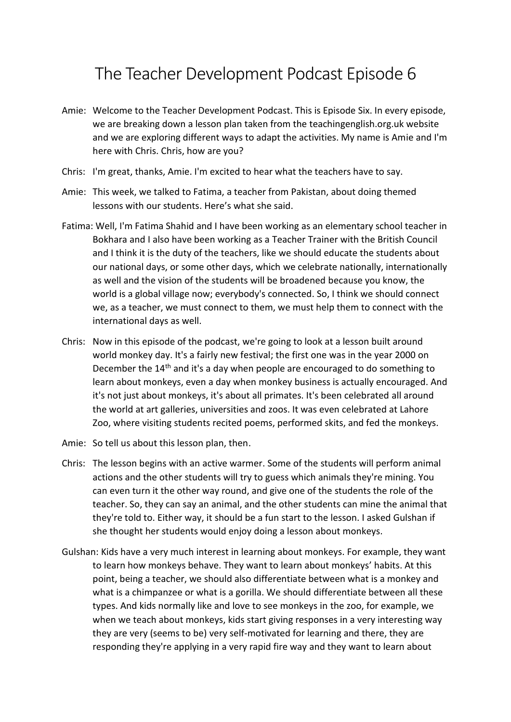## The Teacher Development Podcast Episode 6

- Amie: Welcome to the Teacher Development Podcast. This is Episode Six. In every episode, we are breaking down a lesson plan taken from the teachingenglish.org.uk website and we are exploring different ways to adapt the activities. My name is Amie and I'm here with Chris. Chris, how are you?
- Chris: I'm great, thanks, Amie. I'm excited to hear what the teachers have to say.
- Amie: This week, we talked to Fatima, a teacher from Pakistan, about doing themed lessons with our students. Here's what she said.
- Fatima: Well, I'm Fatima Shahid and I have been working as an elementary school teacher in Bokhara and I also have been working as a Teacher Trainer with the British Council and I think it is the duty of the teachers, like we should educate the students about our national days, or some other days, which we celebrate nationally, internationally as well and the vision of the students will be broadened because you know, the world is a global village now; everybody's connected. So, I think we should connect we, as a teacher, we must connect to them, we must help them to connect with the international days as well.
- Chris: Now in this episode of the podcast, we're going to look at a lesson built around world monkey day. It's a fairly new festival; the first one was in the year 2000 on December the 14<sup>th</sup> and it's a day when people are encouraged to do something to learn about monkeys, even a day when monkey business is actually encouraged. And it's not just about monkeys, it's about all primates. It's been celebrated all around the world at art galleries, universities and zoos. It was even celebrated at Lahore Zoo, where visiting students recited poems, performed skits, and fed the monkeys.
- Amie: So tell us about this lesson plan, then.
- Chris: The lesson begins with an active warmer. Some of the students will perform animal actions and the other students will try to guess which animals they're mining. You can even turn it the other way round, and give one of the students the role of the teacher. So, they can say an animal, and the other students can mine the animal that they're told to. Either way, it should be a fun start to the lesson. I asked Gulshan if she thought her students would enjoy doing a lesson about monkeys.
- Gulshan: Kids have a very much interest in learning about monkeys. For example, they want to learn how monkeys behave. They want to learn about monkeys' habits. At this point, being a teacher, we should also differentiate between what is a monkey and what is a chimpanzee or what is a gorilla. We should differentiate between all these types. And kids normally like and love to see monkeys in the zoo, for example, we when we teach about monkeys, kids start giving responses in a very interesting way they are very (seems to be) very self-motivated for learning and there, they are responding they're applying in a very rapid fire way and they want to learn about